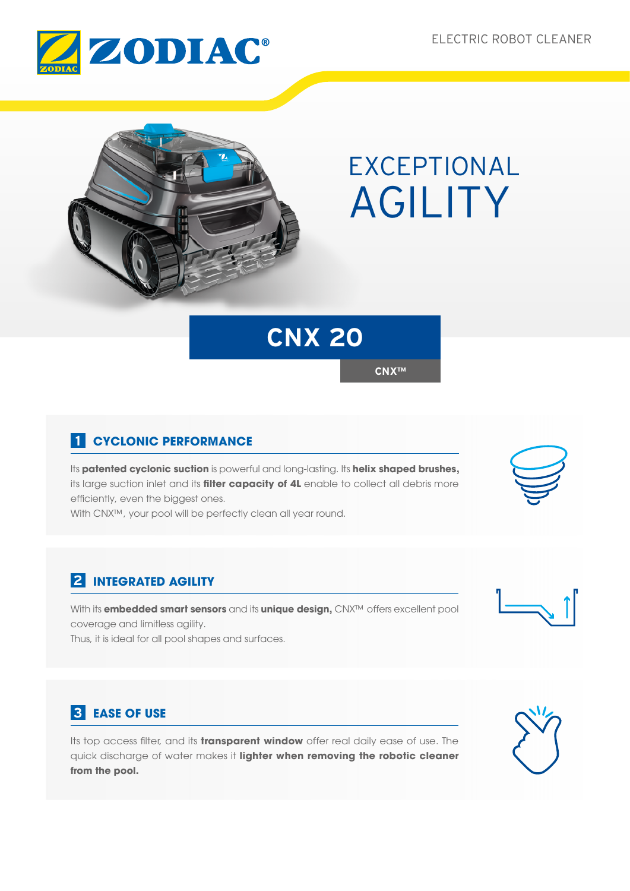



# EXCEPTIONAL AGILITY

## **CNX 20**

**CNX™**

## **1 CYCLONIC PERFORMANCE**

Its **patented cyclonic suction** is powerful and long-lasting. Its **helix shaped brushes,**  its large suction inlet and its **filter capacity of 4L** enable to collect all debris more efficiently, even the biggest ones.

With CNX™, your pool will be perfectly clean all year round.

## **2 INTEGRATED AGILITY**

With its **embedded smart sensors** and its **unique design,** CNX™ offers excellent pool coverage and limitless agility.

Thus, it is ideal for all pool shapes and surfaces.

## **3 EASE OF USE**

Its top access filter, and its **transparent window** offer real daily ease of use. The quick discharge of water makes it **lighter when removing the robotic cleaner from the pool.**